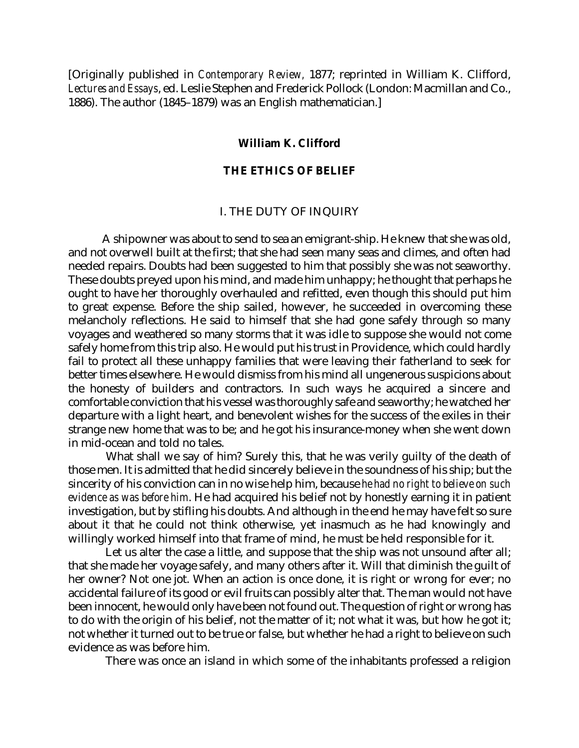[Originally published in *Contemporary Review,* 1877; reprinted in William K. Clifford, *Lectures and Essays*, ed. Leslie Stephen and Frederick Pollock (London: Macmillan and Co., 1886). The author (1845–1879) was an English mathematician.]

## **William K. Clifford**

## **THE ETHICS OF BELIEF**

#### I. THE DUTY OF INQUIRY

A shipowner was about to send to sea an emigrant-ship. He knew that she was old, and not overwell built at the first; that she had seen many seas and climes, and often had needed repairs. Doubts had been suggested to him that possibly she was not seaworthy. These doubts preyed upon his mind, and made him unhappy; he thought that perhaps he ought to have her thoroughly overhauled and refitted, even though this should put him to great expense. Before the ship sailed, however, he succeeded in overcoming these melancholy reflections. He said to himself that she had gone safely through so many voyages and weathered so many storms that it was idle to suppose she would not come safely home from this trip also. He would put his trust in Providence, which could hardly fail to protect all these unhappy families that were leaving their fatherland to seek for better times elsewhere. He would dismiss from his mind all ungenerous suspicions about the honesty of builders and contractors. In such ways he acquired a sincere and comfortable conviction that his vessel was thoroughly safe and seaworthy; he watched her departure with a light heart, and benevolent wishes for the success of the exiles in their strange new home that was to be; and he got his insurance-money when she went down in mid-ocean and told no tales.

What shall we say of him? Surely this, that he was verily guilty of the death of those men. It is admitted that he did sincerely believe in the soundness of his ship; but the sincerity of his conviction can in no wise help him, because *he had no right to believe on such evidence as was before him*. He had acquired his belief not by honestly earning it in patient investigation, but by stifling his doubts. And although in the end he may have felt so sure about it that he could not think otherwise, yet inasmuch as he had knowingly and willingly worked himself into that frame of mind, he must be held responsible for it.

Let us alter the case a little, and suppose that the ship was not unsound after all; that she made her voyage safely, and many others after it. Will that diminish the guilt of her owner? Not one jot. When an action is once done, it is right or wrong for ever; no accidental failure of its good or evil fruits can possibly alter that. The man would not have been innocent, he would only have been not found out. The question of right or wrong has to do with the origin of his belief, not the matter of it; not what it was, but how he got it; not whether it turned out to be true or false, but whether he had a right to believe on such evidence as was before him.

There was once an island in which some of the inhabitants professed a religion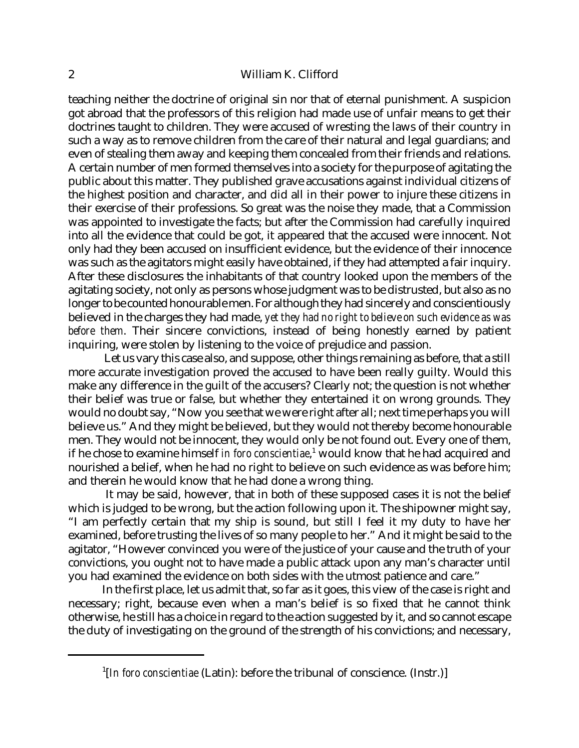## 2 William K. Clifford

teaching neither the doctrine of original sin nor that of eternal punishment. A suspicion got abroad that the professors of this religion had made use of unfair means to get their doctrines taught to children. They were accused of wresting the laws of their country in such a way as to remove children from the care of their natural and legal guardians; and even of stealing them away and keeping them concealed from their friends and relations. A certain number of men formed themselves into a society forthe purpose of agitating the public about this matter. They published grave accusations against individual citizens of the highest position and character, and did all in their power to injure these citizens in their exercise of their professions. So great was the noise they made, that a Commission was appointed to investigate the facts; but after the Commission had carefully inquired into all the evidence that could be got, it appeared that the accused were innocent. Not only had they been accused on insufficient evidence, but the evidence of their innocence was such as the agitators might easily have obtained, if they had attempted a fair inquiry. After these disclosures the inhabitants of that country looked upon the members of the agitating society, not only as persons whose judgment was to be distrusted, but also as no longer to be counted honourable men. For although they had sincerely and conscientiously believed in the charges they had made, *yet they had no right to believe on such evidence as was before them*. Their sincere convictions, instead of being honestly earned by patient inquiring, were stolen by listening to the voice of prejudice and passion.

Let us vary this case also, and suppose, other things remaining as before, that a still more accurate investigation proved the accused to have been really guilty. Would this make any difference in the guilt of the accusers? Clearly not; the question is not whether their belief was true or false, but whether they entertained it on wrong grounds. They would no doubt say, "Now you see that we were right after all; next time perhaps you will believe us." And they might be believed, but they would not thereby become honourable men. They would not be innocent, they would only be not found out. Every one of them, if he chose to examine himself *in foro conscientiae*,<sup>1</sup> would know that he had acquired and nourished a belief, when he had no right to believe on such evidence as was before him; and therein he would know that he had done a wrong thing.

It may be said, however, that in both of these supposed cases it is not the belief which is judged to be wrong, but the action following upon it. The shipowner might say, "I am perfectly certain that my ship is sound, but still I feel it my duty to have her examined, before trusting the lives of so many people to her." And it might be said to the agitator, "However convinced you were of the justice of your cause and the truth of your convictions, you ought not to have made a public attack upon any man's character until you had examined the evidence on both sides with the utmost patience and care."

In the first place, let us admit that, so far as it goes, this view of the case is right and necessary; right, because even when a man's belief is so fixed that he cannot think otherwise, he still has a choice in regard to the action suggested by it, and so cannot escape the duty of investigating on the ground of the strength of his convictions; and necessary,

<sup>&</sup>lt;sup>1</sup>[In foro conscientiae (Latin): before the tribunal of conscience. (Instr.)]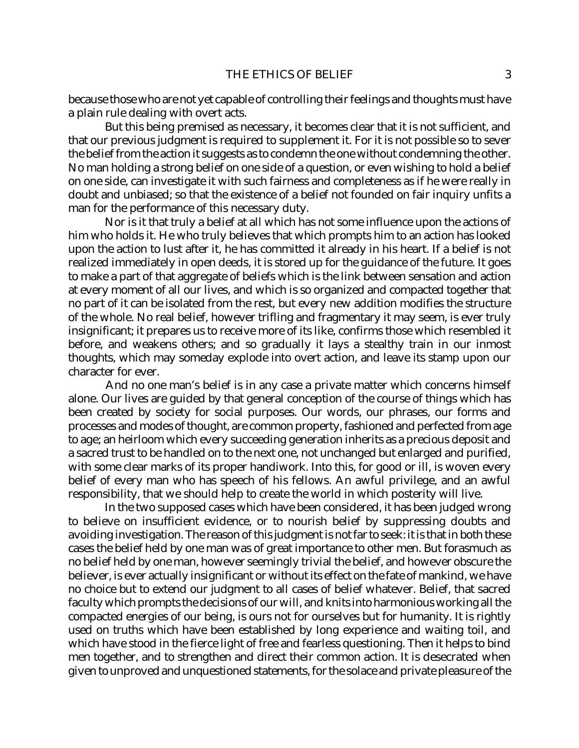because those who are not yet capable of controlling their feelings and thoughts must have a plain rule dealing with overt acts.

But this being premised as necessary, it becomes clear that it is not sufficient, and that our previous judgment is required to supplement it. For it is not possible so to sever the belief from the action it suggests as to condemn the one without condemning the other. No man holding a strong belief on one side of a question, or even wishing to hold a belief on one side, can investigate it with such fairness and completeness as if he were really in doubt and unbiased; so that the existence of a belief not founded on fair inquiry unfits a man for the performance of this necessary duty.

Nor is it that truly a belief at all which has not some influence upon the actions of him who holds it. He who truly believes that which prompts him to an action has looked upon the action to lust after it, he has committed it already in his heart. If a belief is not realized immediately in open deeds, it is stored up for the guidance of the future. It goes to make a part of that aggregate of beliefs which is the link between sensation and action at every moment of all our lives, and which is so organized and compacted together that no part of it can be isolated from the rest, but every new addition modifies the structure of the whole. No real belief, however trifling and fragmentary it may seem, is ever truly insignificant; it prepares us to receive more of its like, confirms those which resembled it before, and weakens others; and so gradually it lays a stealthy train in our inmost thoughts, which may someday explode into overt action, and leave its stamp upon our character for ever.

And no one man's belief is in any case a private matter which concerns himself alone. Our lives are guided by that general conception of the course of things which has been created by society for social purposes. Our words, our phrases, our forms and processes and modes of thought, are common property, fashioned and perfected from age to age; an heirloom which every succeeding generation inherits as a precious deposit and a sacred trust to be handled on to the next one, not unchanged but enlarged and purified, with some clear marks of its proper handiwork. Into this, for good or ill, is woven every belief of every man who has speech of his fellows. An awful privilege, and an awful responsibility, that we should help to create the world in which posterity will live.

In the two supposed cases which have been considered, it has been judged wrong to believe on insufficient evidence, or to nourish belief by suppressing doubts and avoiding investigation. The reason of this judgment is not far to seek: it is that in both these cases the belief held by one man was of great importance to other men. But forasmuch as no belief held by one man, however seemingly trivial the belief, and however obscure the believer, is ever actually insignificant or without its effect on the fate of mankind, we have no choice but to extend our judgment to all cases of belief whatever. Belief, that sacred faculty which prompts the decisions of our will, and knits into harmonious working all the compacted energies of our being, is ours not for ourselves but for humanity. It is rightly used on truths which have been established by long experience and waiting toil, and which have stood in the fierce light of free and fearless questioning. Then it helps to bind men together, and to strengthen and direct their common action. It is desecrated when given to unproved and unquestioned statements, forthe solace and private pleasure of the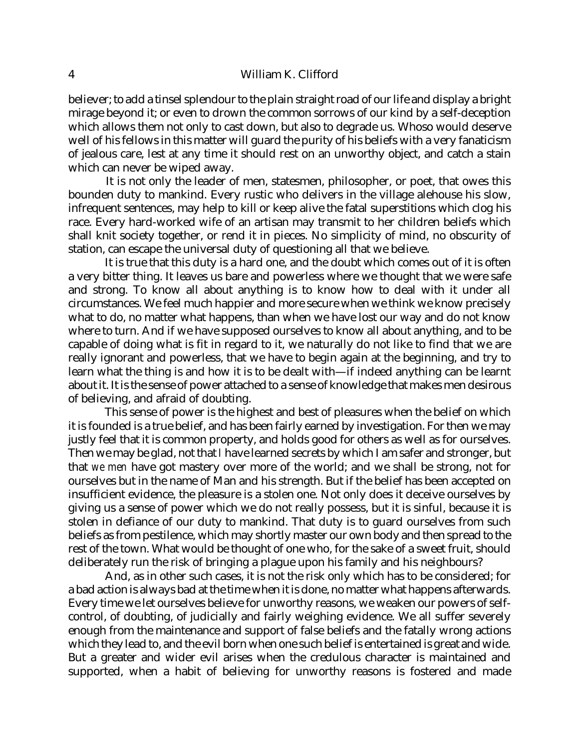## 4 William K. Clifford

believer; to add a tinsel splendour to the plain straight road of our life and display a bright mirage beyond it; or even to drown the common sorrows of our kind by a self-deception which allows them not only to cast down, but also to degrade us. Whoso would deserve well of his fellows in this matter will guard the purity of his beliefs with a very fanaticism of jealous care, lest at any time it should rest on an unworthy object, and catch a stain which can never be wiped away.

It is not only the leader of men, statesmen, philosopher, or poet, that owes this bounden duty to mankind. Every rustic who delivers in the village alehouse his slow, infrequent sentences, may help to kill or keep alive the fatal superstitions which clog his race. Every hard-worked wife of an artisan may transmit to her children beliefs which shall knit society together, or rend it in pieces. No simplicity of mind, no obscurity of station, can escape the universal duty of questioning all that we believe.

It is true that this duty is a hard one, and the doubt which comes out of it is often a very bitter thing. It leaves us bare and powerless where we thought that we were safe and strong. To know all about anything is to know how to deal with it under all circumstances. We feel much happier and more secure when we think we know precisely what to do, no matter what happens, than when we have lost our way and do not know where to turn. And if we have supposed ourselves to know all about anything, and to be capable of doing what is fit in regard to it, we naturally do not like to find that we are really ignorant and powerless, that we have to begin again at the beginning, and try to learn what the thing is and how it is to be dealt with—if indeed anything can be learnt about it. It is the sense of power attached to a sense of knowledge that makes men desirous of believing, and afraid of doubting.

This sense of power is the highest and best of pleasures when the belief on which it is founded is a true belief, and has been fairly earned by investigation. For then we may justly feel that it is common property, and holds good for others as well as for ourselves. Then we may be glad, not that *I* have learned secrets by which I am safer and stronger, but that *we men* have got mastery over more of the world; and we shall be strong, not for ourselves but in the name of Man and his strength. But if the belief has been accepted on insufficient evidence, the pleasure is a stolen one. Not only does it deceive ourselves by giving us a sense of power which we do not really possess, but it is sinful, because it is stolen in defiance of our duty to mankind. That duty is to guard ourselves from such beliefs as from pestilence, which may shortly master our own body and then spread to the rest of the town. What would be thought of one who, for the sake of a sweet fruit, should deliberately run the risk of bringing a plague upon his family and his neighbours?

 And, as in other such cases, it is not the risk only which has to be considered; for a bad action is always bad at the time when it is done, no matter what happens afterwards. Every time we let ourselves believe for unworthy reasons, we weaken our powers of selfcontrol, of doubting, of judicially and fairly weighing evidence. We all suffer severely enough from the maintenance and support of false beliefs and the fatally wrong actions which they lead to, and the evil born when one such belief is entertained is great and wide. But a greater and wider evil arises when the credulous character is maintained and supported, when a habit of believing for unworthy reasons is fostered and made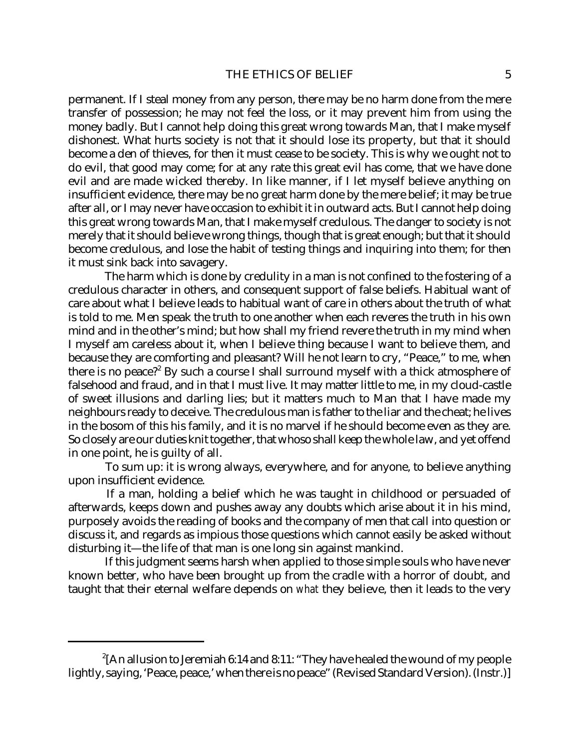permanent. If I steal money from any person, there may be no harm done from the mere transfer of possession; he may not feel the loss, or it may prevent him from using the money badly. But I cannot help doing this great wrong towards Man, that I make myself dishonest. What hurts society is not that it should lose its property, but that it should become a den of thieves, for then it must cease to be society. This is why we ought not to do evil, that good may come; for at any rate this great evil has come, that we have done evil and are made wicked thereby. In like manner, if I let myself believe anything on insufficient evidence, there may be no great harm done by the mere belief; it may be true after all, or I may never have occasion to exhibit it in outward acts. But I cannot help doing this great wrong towards Man, that I make myself credulous. The danger to society is not merely that it should believe wrong things, though that is great enough; but that it should become credulous, and lose the habit of testing things and inquiring into them; for then it must sink back into savagery.

The harm which is done by credulity in a man is not confined to the fostering of a credulous character in others, and consequent support of false beliefs. Habitual want of care about what I believe leads to habitual want of care in others about the truth of what is told to me. Men speak the truth to one another when each reveres the truth in his own mind and in the other's mind; but how shall my friend revere the truth in my mind when I myself am careless about it, when I believe thing because I want to believe them, and because they are comforting and pleasant? Will he not learn to cry, "Peace," to me, when there is no peace?<sup>2</sup> By such a course I shall surround myself with a thick atmosphere of falsehood and fraud, and in that I must live. It may matter little to me, in my cloud-castle of sweet illusions and darling lies; but it matters much to Man that I have made my neighbours ready to deceive. The credulous man is father to the liar and the cheat; he lives in the bosom of this his family, and it is no marvel if he should become even as they are. So closely are our duties knit together, that whoso shall keep the whole law, and yet offend in one point, he is guilty of all.

To sum up: it is wrong always, everywhere, and for anyone, to believe anything upon insufficient evidence.

If a man, holding a belief which he was taught in childhood or persuaded of afterwards, keeps down and pushes away any doubts which arise about it in his mind, purposely avoids the reading of books and the company of men that call into question or discuss it, and regards as impious those questions which cannot easily be asked without disturbing it—the life of that man is one long sin against mankind.

If this judgment seems harsh when applied to those simple souls who have never known better, who have been brought up from the cradle with a horror of doubt, and taught that their eternal welfare depends on *what* they believe, then it leads to the very

 $^{2}$ [An allusion to Jeremiah 6:14 and 8:11: "They have healed the wound of my people lightly, saying, 'Peace, peace,' when there is no peace" (Revised Standard Version). (Instr.)]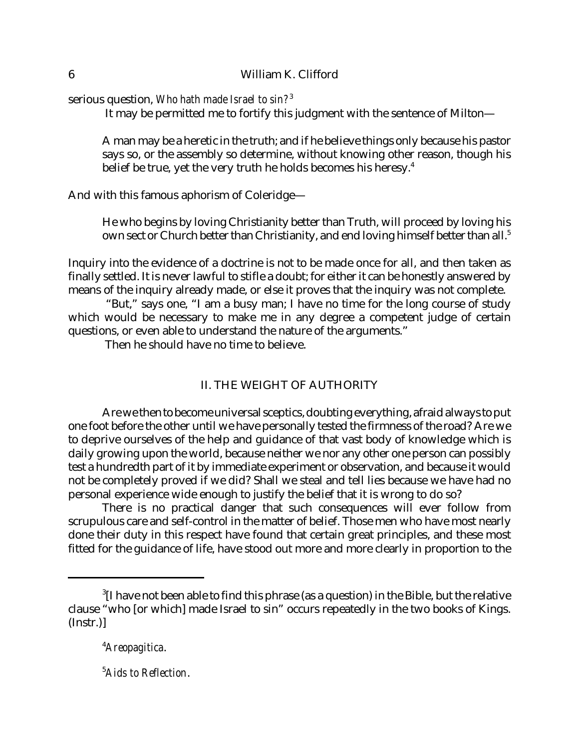serious question, *Who hath made Israel to sin?*<sup>3</sup>

It may be permitted me to fortify this judgment with the sentence of Milton—

A man may be a heretic in the truth; and if he believe things only because his pastor says so, or the assembly so determine, without knowing other reason, though his belief be true, yet the very truth he holds becomes his heresy.<sup>4</sup>

And with this famous aphorism of Coleridge—

He who begins by loving Christianity better than Truth, will proceed by loving his own sect or Church better than Christianity, and end loving himself better than all.<sup>5</sup>

Inquiry into the evidence of a doctrine is not to be made once for all, and then taken as finally settled. It is never lawful to stifle a doubt; for either it can be honestly answered by means of the inquiry already made, or else it proves that the inquiry was not complete.

 "But," says one, "I am a busy man; I have no time for the long course of study which would be necessary to make me in any degree a competent judge of certain questions, or even able to understand the nature of the arguments."

Then he should have no time to believe.

# II. THE WEIGHT OF AUTHORITY

Are we then to become universal sceptics, doubting everything, afraid always to put one foot before the other until we have personally tested the firmness of the road? Are we to deprive ourselves of the help and guidance of that vast body of knowledge which is daily growing upon the world, because neither we nor any other one person can possibly test a hundredth part of it by immediate experiment or observation, and because it would not be completely proved if we did? Shall we steal and tell lies because we have had no personal experience wide enough to justify the belief that it is wrong to do so?

There is no practical danger that such consequences will ever follow from scrupulous care and self-control in the matter of belief. Those men who have most nearly done their duty in this respect have found that certain great principles, and these most fitted for the guidance of life, have stood out more and more clearly in proportion to the

<sup>4</sup>*Areopagitica*.

<sup>5</sup>*Aids to Reflection*.

 $^3$ [I have not been able to find this phrase (as a question) in the Bible, but the relative clause "who [or which] made Israel to sin" occurs repeatedly in the two books of Kings. (Instr.)]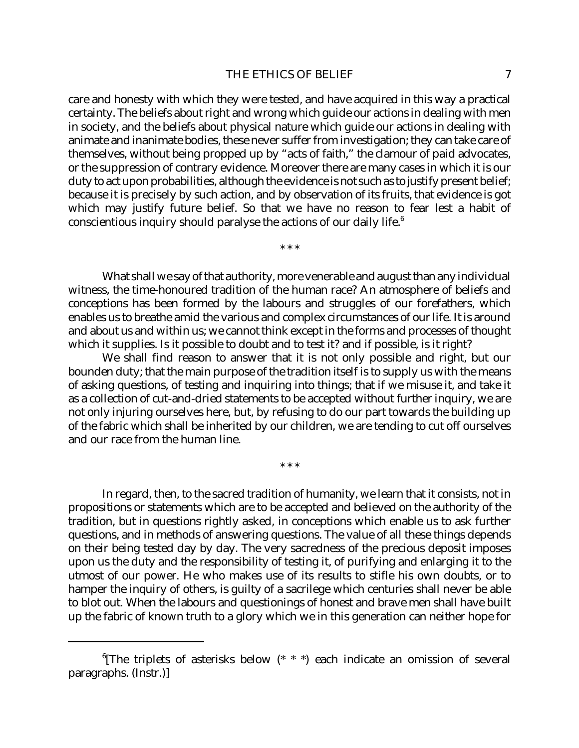care and honesty with which they were tested, and have acquired in this way a practical certainty. The beliefs about right and wrong which guide our actions in dealing with men in society, and the beliefs about physical nature which guide our actions in dealing with animate and inanimate bodies, these never suffer from investigation; they can take care of themselves, without being propped up by "acts of faith," the clamour of paid advocates, or the suppression of contrary evidence. Moreover there are many cases in which it is our duty to act upon probabilities, although the evidence is not such as to justify present belief; because it is precisely by such action, and by observation of its fruits, that evidence is got which may justify future belief. So that we have no reason to fear lest a habit of conscientious inquiry should paralyse the actions of our daily life.<sup>6</sup>

\* \* \*

What shall we say of that authority, more venerable and august than any individual witness, the time-honoured tradition of the human race? An atmosphere of beliefs and conceptions has been formed by the labours and struggles of our forefathers, which enables us to breathe amid the various and complex circumstances of our life. It is around and about us and within us; we cannot think except in the forms and processes of thought which it supplies. Is it possible to doubt and to test it? and if possible, is it right?

We shall find reason to answer that it is not only possible and right, but our bounden duty; that the main purpose of the tradition itself is to supply us with the means of asking questions, of testing and inquiring into things; that if we misuse it, and take it as a collection of cut-and-dried statements to be accepted without further inquiry, we are not only injuring ourselves here, but, by refusing to do our part towards the building up of the fabric which shall be inherited by our children, we are tending to cut off ourselves and our race from the human line.

\* \* \*

In regard, then, to the sacred tradition of humanity, we learn that it consists, not in propositions or statements which are to be accepted and believed on the authority of the tradition, but in questions rightly asked, in conceptions which enable us to ask further questions, and in methods of answering questions. The value of all these things depends on their being tested day by day. The very sacredness of the precious deposit imposes upon us the duty and the responsibility of testing it, of purifying and enlarging it to the utmost of our power. He who makes use of its results to stifle his own doubts, or to hamper the inquiry of others, is guilty of a sacrilege which centuries shall never be able to blot out. When the labours and questionings of honest and brave men shall have built up the fabric of known truth to a glory which we in this generation can neither hope for

<sup>&</sup>lt;sup>6</sup>[The triplets of asterisks below (\* \* \*) each indicate an omission of several paragraphs. (Instr.)]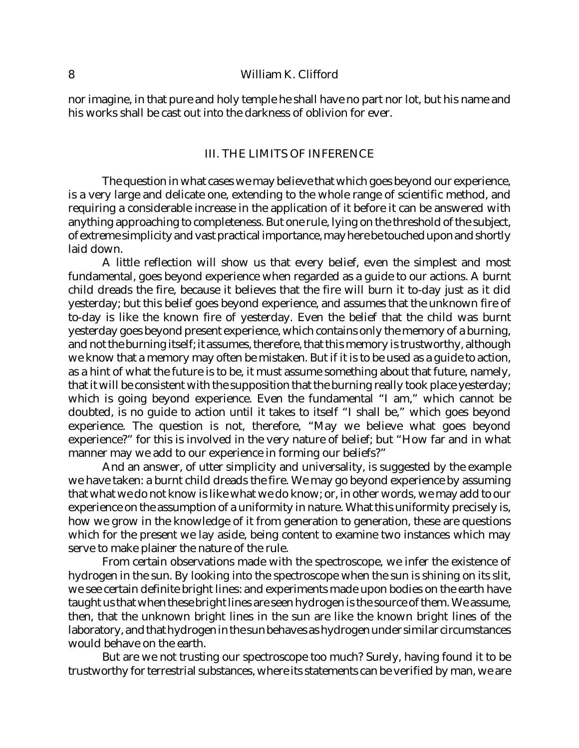nor imagine, in that pure and holy temple he shall have no part nor lot, but his name and his works shall be cast out into the darkness of oblivion for ever.

#### III. THE LIMITS OF INFERENCE

The question in what cases we may believe that which goes beyond our experience, is a very large and delicate one, extending to the whole range of scientific method, and requiring a considerable increase in the application of it before it can be answered with anything approaching to completeness. But one rule, lying on the threshold of the subject, of extreme simplicity and vast practical importance, may here be touched upon and shortly laid down.

A little reflection will show us that every belief, even the simplest and most fundamental, goes beyond experience when regarded as a guide to our actions. A burnt child dreads the fire, because it believes that the fire will burn it to-day just as it did yesterday; but this belief goes beyond experience, and assumes that the unknown fire of to-day is like the known fire of yesterday. Even the belief that the child was burnt yesterday goes beyond present experience, which contains only the memory of a burning, and not the burning itself; it assumes, therefore, that this memory is trustworthy, although we know that a memory may often be mistaken. But if it is to be used as a guide to action, as a hint of what the future is to be, it must assume something about that future, namely, that it will be consistent with the supposition that the burning really took place yesterday; which is going beyond experience. Even the fundamental "I am," which cannot be doubted, is no guide to action until it takes to itself "I shall be," which goes beyond experience. The question is not, therefore, "May we believe what goes beyond experience?" for this is involved in the very nature of belief; but "How far and in what manner may we add to our experience in forming our beliefs?"

And an answer, of utter simplicity and universality, is suggested by the example we have taken: a burnt child dreads the fire. We may go beyond experience by assuming that what we do not know is like what we do know; or, in other words, we may add to our experience on the assumption of a uniformity in nature. What this uniformity precisely is, how we grow in the knowledge of it from generation to generation, these are questions which for the present we lay aside, being content to examine two instances which may serve to make plainer the nature of the rule.

From certain observations made with the spectroscope, we infer the existence of hydrogen in the sun. By looking into the spectroscope when the sun is shining on its slit, we see certain definite bright lines: and experiments made upon bodies on the earth have taught us that when these bright lines are seen hydrogen is the source of them. We assume, then, that the unknown bright lines in the sun are like the known bright lines of the laboratory, and that hydrogen in the sun behaves as hydrogen under similar circumstances would behave on the earth.

But are we not trusting our spectroscope too much? Surely, having found it to be trustworthy for terrestrial substances, where its statements can be verified by man, we are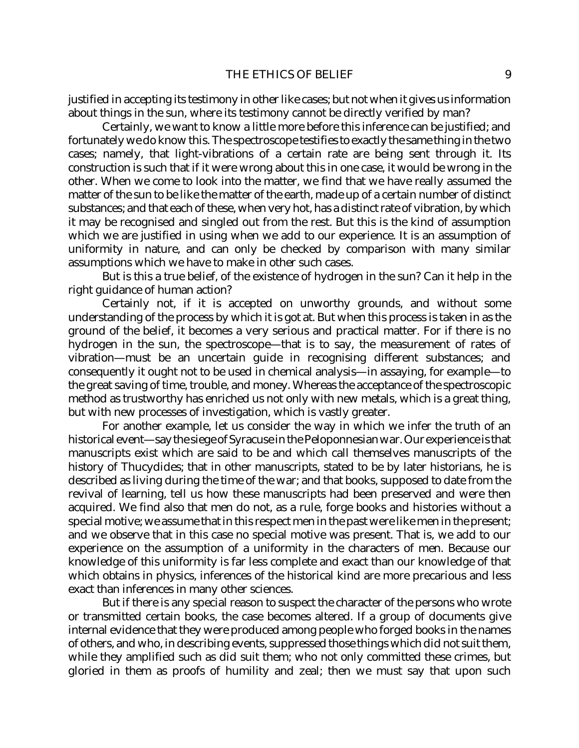justified in accepting its testimony in other like cases; but not when it gives us information about things in the sun, where its testimony cannot be directly verified by man?

Certainly, we want to know a little more before this inference can be justified; and fortunately we do know this. The spectroscope testifies to exactly the same thing in the two cases; namely, that light-vibrations of a certain rate are being sent through it. Its construction is such that if it were wrong about this in one case, it would be wrong in the other. When we come to look into the matter, we find that we have really assumed the matter of the sun to be like the matter of the earth, made up of a certain number of distinct substances; and that each of these, when very hot, has a distinct rate of vibration, by which it may be recognised and singled out from the rest. But this is the kind of assumption which we are justified in using when we add to our experience. It is an assumption of uniformity in nature, and can only be checked by comparison with many similar assumptions which we have to make in other such cases.

But is this a true belief, of the existence of hydrogen in the sun? Can it help in the right guidance of human action?

Certainly not, if it is accepted on unworthy grounds, and without some understanding of the process by which it is got at. But when this process is taken in as the ground of the belief, it becomes a very serious and practical matter. For if there is no hydrogen in the sun, the spectroscope—that is to say, the measurement of rates of vibration—must be an uncertain guide in recognising different substances; and consequently it ought not to be used in chemical analysis—in assaying, for example—to the great saving of time, trouble, and money. Whereas the acceptance of the spectroscopic method as trustworthy has enriched us not only with new metals, which is a great thing, but with new processes of investigation, which is vastly greater.

For another example, let us consider the way in which we infer the truth of an historical event—say the siege of Syracuse in the Peloponnesian war. Our experience is that manuscripts exist which are said to be and which call themselves manuscripts of the history of Thucydides; that in other manuscripts, stated to be by later historians, he is described as living during the time of the war; and that books, supposed to date from the revival of learning, tell us how these manuscripts had been preserved and were then acquired. We find also that men do not, as a rule, forge books and histories without a special motive; we assume that in this respect men in the past were like men in the present; and we observe that in this case no special motive was present. That is, we add to our experience on the assumption of a uniformity in the characters of men. Because our knowledge of this uniformity is far less complete and exact than our knowledge of that which obtains in physics, inferences of the historical kind are more precarious and less exact than inferences in many other sciences.

But if there is any special reason to suspect the character of the persons who wrote or transmitted certain books, the case becomes altered. If a group of documents give internal evidence that they were produced among people who forged books in the names of others, and who, in describing events, suppressed those things which did not suit them, while they amplified such as did suit them; who not only committed these crimes, but gloried in them as proofs of humility and zeal; then we must say that upon such